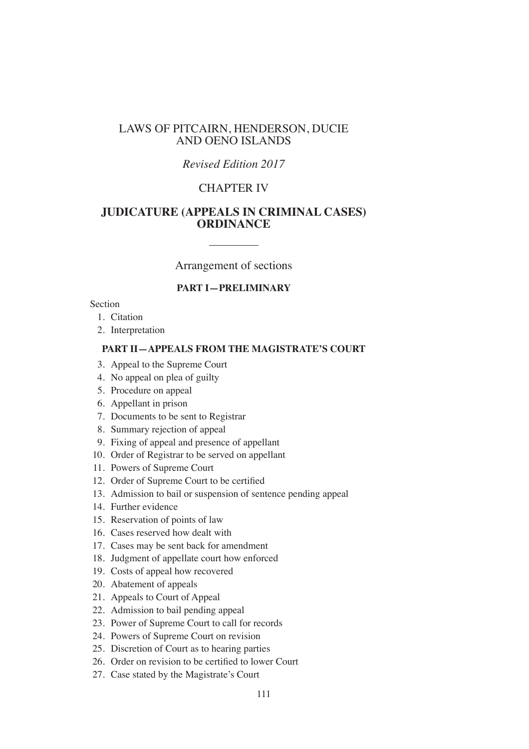## LAWS OF PITCAIRN, HENDERSON, DUCIE AND OENO ISLANDS

## *Revised Edition 2017*

# CHAPTER IV

## **JUDICATURE (APPEALS IN CRIMINAL CASES) ORDINANCE**

## Arrangement of sections

## **PART I—PRELIMINARY**

### Section

- 1. Citation
- 2. Interpretation

### **PART II—APPEALS FROM THE MAGISTRATE'S COURT**

- 3. Appeal to the Supreme Court
- 4. No appeal on plea of guilty
- 5. Procedure on appeal
- 6. Appellant in prison
- 7. Documents to be sent to Registrar
- 8. Summary rejection of appeal
- 9. Fixing of appeal and presence of appellant
- 10. Order of Registrar to be served on appellant
- 11. Powers of Supreme Court
- 12. Order of Supreme Court to be certifed
- 13. Admission to bail or suspension of sentence pending appeal
- 14. Further evidence
- 15. Reservation of points of law
- 16. Cases reserved how dealt with
- 17. Cases may be sent back for amendment
- 18. Judgment of appellate court how enforced
- 19. Costs of appeal how recovered
- 20. Abatement of appeals
- 21. Appeals to Court of Appeal
- 22. Admission to bail pending appeal
- 23. Power of Supreme Court to call for records
- 24. Powers of Supreme Court on revision
- 25. Discretion of Court as to hearing parties
- 26. Order on revision to be certifed to lower Court
- 27. Case stated by the Magistrate's Court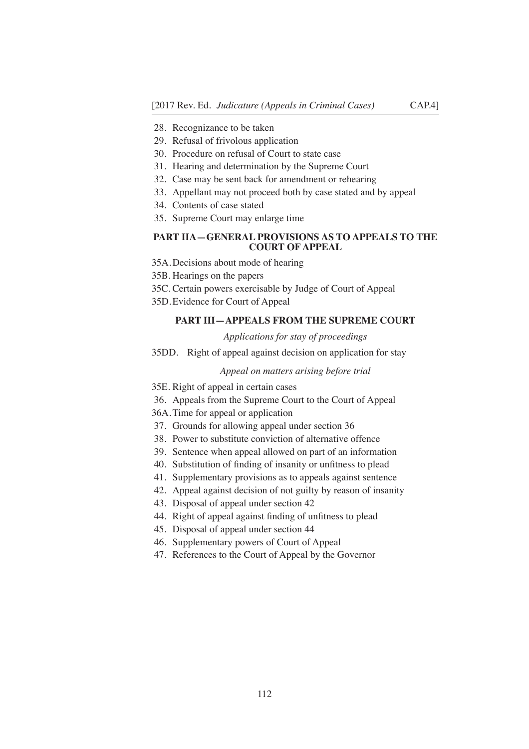- 28. Recognizance to be taken
- 29. Refusal of frivolous application
- 30. Procedure on refusal of Court to state case
- 31. Hearing and determination by the Supreme Court
- 32. Case may be sent back for amendment or rehearing
- 33. Appellant may not proceed both by case stated and by appeal
- 34. Contents of case stated
- 35. Supreme Court may enlarge time

### **PART IIA—GENERAL PROVISIONS AS TO APPEALS TO THE COURT OF APPEAL**

- 35A.Decisions about mode of hearing
- 35B. Hearings on the papers
- 35C. Certain powers exercisable by Judge of Court of Appeal
- 35D.Evidence for Court of Appeal

## **PART III—APPEALS FROM THE SUPREME COURT**

#### *Applications for stay of proceedings*

35DD. Right of appeal against decision on application for stay

#### *Appeal on matters arising before trial*

- 35E. Right of appeal in certain cases
- 36. Appeals from the Supreme Court to the Court of Appeal
- 36A.Time for appeal or application
- 37. Grounds for allowing appeal under section 36
- 38. Power to substitute conviction of alternative offence
- 39. Sentence when appeal allowed on part of an information
- 40. Substitution of fnding of insanity or unftness to plead
- 41. Supplementary provisions as to appeals against sentence
- 42. Appeal against decision of not guilty by reason of insanity
- 43. Disposal of appeal under section 42
- 44. Right of appeal against fnding of unftness to plead
- 45. Disposal of appeal under section 44
- 46. Supplementary powers of Court of Appeal
- 47. References to the Court of Appeal by the Governor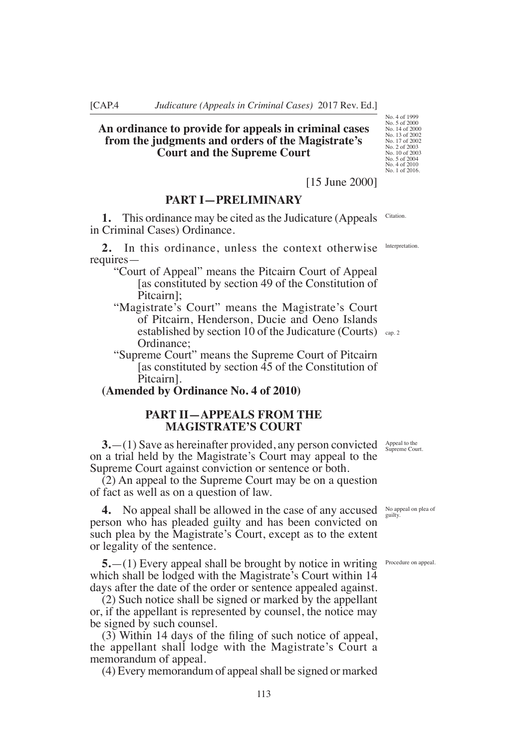### **An ordinance to provide for appeals in criminal cases from the judgments and orders of the Magistrate's Court and the Supreme Court**

## [15 June 2000]

## **PART I—PRELIMINARY**

**1.** This ordinance may be cited as the Judicature (Appeals in Criminal Cases) Ordinance. Citation.

**2.** In this ordinance, unless the context otherwise requires lnterpretation.

"Court of Appeal" means the Pitcairn Court of Appeal [as constituted by section 49 of the Constitution of Pitcairn];

- "Magistrate's Court" means the Magistrate's Court of Pitcairn, Henderson, Ducie and Oeno Islands established by section 10 of the Judicature (Courts) cap.2 Ordinance;
- "Supreme Court" means the Supreme Court of Pitcairn [as constituted by section 45 of the Constitution of Pitcairn].

## **(Amended by Ordinance No. 4 of 2010)**

## **PART II—APPEALS FROM THE MAGISTRATE'S COURT**

**3.**—(1) Save as hereinafter provided, any person convicted on a trial held by the Magistrate's Court may appeal to the Supreme Court against conviction or sentence or both.

(2) An appeal to the Supreme Court may be on a question of fact as well as on a question of law.

**4.** No appeal shall be allowed in the case of any accused person who has pleaded guilty and has been convicted on such plea by the Magistrate's Court, except as to the extent or legality of the sentence.

**5.** - (1) Every appeal shall be brought by notice in writing Procedure on appeal. which shall be lodged with the Magistrate's Court within 14 days after the date of the order or sentence appealed against.

(2) Such notice shall be signed or marked by the appellant or, if the appellant is represented by counsel, the notice may be signed by such counsel.

(3) Within 14 days of the fling of such notice of appeal, the appellant shall lodge with the Magistrate's Court a memorandum of appeal.

(4) Every memorandum of appeal shall be signed or marked

Appeal to the Supreme Court.

No appeal on plea of guilty.

No. 4 of 1999 No. 5 of 2000 No. 14 of 2000 No. 13 of 2002 No. 17 of 2002 No. 2 of 2003 No. 10 of 2003 No. 5 of 2004 No. 4 of 2010 No. 1 of 2016.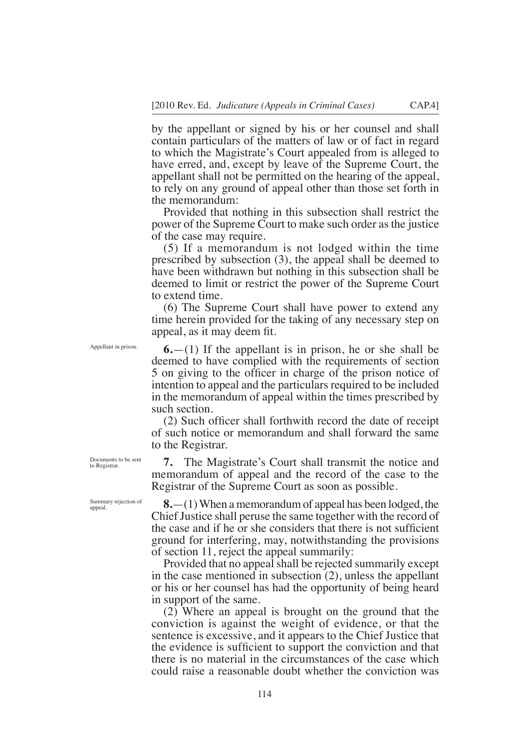by the appellant or signed by his or her counsel and shall contain particulars of the matters of law or of fact in regard to which the Magistrate's Court appealed from is alleged to have erred, and, except by leave of the Supreme Court, the appellant shall not be permitted on the hearing of the appeal, to rely on any ground of appeal other than those set forth in the memorandum:

Provided that nothing in this subsection shall restrict the power of the Supreme Court to make such order as the justice of the case may require.

(5) If a memorandum is not lodged within the time prescribed by subsection (3), the appeal shall be deemed to have been withdrawn but nothing in this subsection shall be deemed to limit or restrict the power of the Supreme Court to extend time.

(6) The Supreme Court shall have power to extend any time herein provided for the taking of any necessary step on appeal, as it may deem ft.

**6.**—(1) If the appellant is in prison, he or she shall be deemed to have complied with the requirements of section 5 on giving to the offcer in charge of the prison notice of intention to appeal and the particulars required to be included in the memorandum of appeal within the times prescribed by such section.

(2) Such offcer shall forthwith record the date of receipt of such notice or memorandum and shall forward the same to the Registrar.

**7.** The Magistrate's Court shall transmit the notice and memorandum of appeal and the record of the case to the Registrar of the Supreme Court as soon as possible.

**8.**—(1) When a memorandum of appeal has been lodged, the Chief Justice shall peruse the same together with the record of the case and if he or she considers that there is not suffcient ground for interfering, may, notwithstanding the provisions of section 11, reject the appeal summarily:

Provided that no appeal shall be rejected summarily except in the case mentioned in subsection (2), unless the appellant or his or her counsel has had the opportunity of being heard in support of the same.

(2) Where an appeal is brought on the ground that the conviction is against the weight of evidence, or that the sentence is excessive, and it appears to the Chief Justice that the evidence is suffcient to support the conviction and that there is no material in the circumstances of the case which could raise a reasonable doubt whether the conviction was

Appellant in prison.

Documents to be sent to Registrar

Summary rejection of appeal.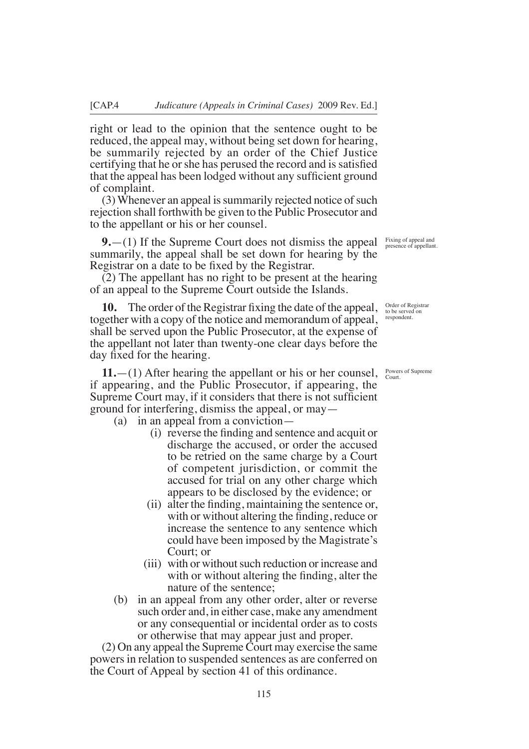right or lead to the opinion that the sentence ought to be reduced, the appeal may, without being set down for hearing, be summarily rejected by an order of the Chief Justice certifying that he or she has perused the record and is satisfied that the appeal has been lodged without any suffcient ground of complaint.

(3) Whenever an appeal is summarily rejected notice of such rejection shall forthwith be given to the Public Prosecutor and to the appellant or his or her counsel.

**9.** - (1) If the Supreme Court does not dismiss the appeal Fixing of appeal and summarily, the appeal shall be set down for hearing by the Registrar on a date to be fxed by the Registrar.

(2) The appellant has no right to be present at the hearing of an appeal to the Supreme Court outside the Islands.

**10.** The order of the Registrar fxing the date of the appeal, together with a copy of the notice and memorandum of appeal, shall be served upon the Public Prosecutor, at the expense of the appellant not later than twenty-one clear days before the day fxed for the hearing.

**11.**—(1) After hearing the appellant or his or her counsel, if appearing, and the Public Prosecutor, if appearing, the Supreme Court may, if it considers that there is not sufficient ground for interfering, dismiss the appeal, or may—

(a) in an appeal from a conviction—

- (i) reverse the fnding and sentence and acquit or discharge the accused, or order the accused to be retried on the same charge by a Court of competent jurisdiction, or commit the accused for trial on any other charge which appears to be disclosed by the evidence; or
- (ii) alter the fnding, maintaining the sentence or, with or without altering the fnding, reduce or increase the sentence to any sentence which could have been imposed by the Magistrate's Court; or
- (iii) with or without such reduction or increase and with or without altering the fnding, alter the nature of the sentence;
- (b) in an appeal from any other order, alter or reverse such order and, in either case, make any amendment or any consequential or incidental order as to costs or otherwise that may appear just and proper.

(2) On any appeal the Supreme Court may exercise the same powers in relation to suspended sentences as are conferred on the Court of Appeal by section 41 of this ordinance.

presence of appellant.

Order of Registrar to be served on respondent.

Powers of Supreme Court.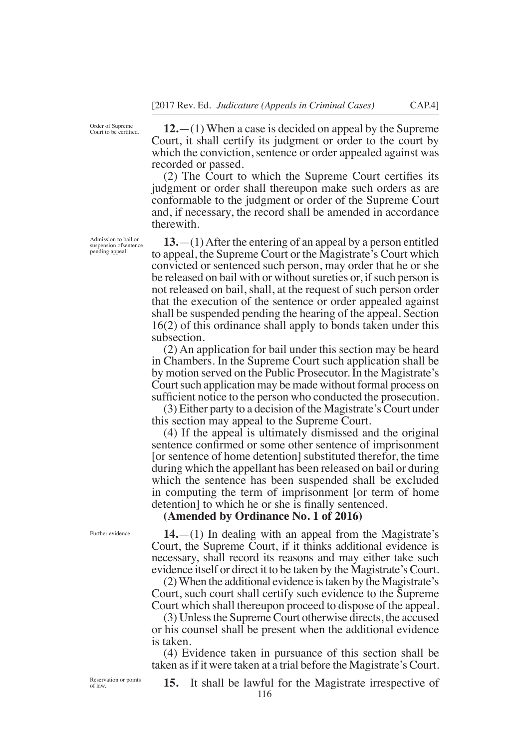Order of Supreme Court to be certifed.

**12.**—(1) When a case is decided on appeal by the Supreme Court, it shall certify its judgment or order to the court by which the conviction, sentence or order appealed against was recorded or passed.

(2) The Court to which the Supreme Court certifes its judgment or order shall thereupon make such orders as are conformable to the judgment or order of the Supreme Court and, if necessary, the record shall be amended in accordance therewith.

**13.**—(1) After the entering of an appeal by a person entitled to appeal, the Supreme Court or the Magistrate's Court which convicted or sentenced such person, may order that he or she be released on bail with or without sureties or, if such person is not released on bail, shall, at the request of such person order that the execution of the sentence or order appealed against shall be suspended pending the hearing of the appeal. Section 16(2) of this ordinance shall apply to bonds taken under this subsection.

(2) An application for bail under this section may be heard in Chambers. In the Supreme Court such application shall be by motion served on the Public Prosecutor. In the Magistrate's Court such application may be made without formal process on sufficient notice to the person who conducted the prosecution.

(3) Either party to a decision of the Magistrate's Court under this section may appeal to the Supreme Court.

(4) If the appeal is ultimately dismissed and the original sentence confrmed or some other sentence of imprisonment [or sentence of home detention] substituted therefor, the time during which the appellant has been released on bail or during which the sentence has been suspended shall be excluded in computing the term of imprisonment [or term of home detention] to which he or she is finally sentenced.

**(Amended by Ordinance No. 1 of 2016)**

**14.**—(1) In dealing with an appeal from the Magistrate's Court, the Supreme Court, if it thinks additional evidence is necessary, shall record its reasons and may either take such evidence itself or direct it to be taken by the Magistrate's Court.

(2) When the additional evidence is taken by the Magistrate's Court, such court shall certify such evidence to the Supreme Court which shall thereupon proceed to dispose of the appeal.

(3) Unless the Supreme Court otherwise directs, the accused or his counsel shall be present when the additional evidence is taken.

(4) Evidence taken in pursuance of this section shall be taken as if it were taken at a trial before the Magistrate's Court.

Admission to bail or suspension ofsentence pending appeal.

Further evidence.

Reservation or points of law.

**15.** It shall be lawful for the Magistrate irrespective of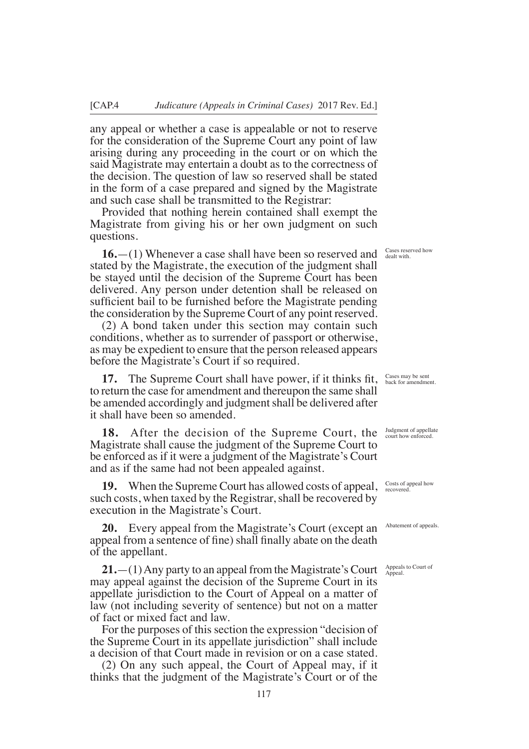any appeal or whether a case is appealable or not to reserve for the consideration of the Supreme Court any point of law arising during any proceeding in the court or on which the said Magistrate may entertain a doubt as to the correctness of the decision. The question of law so reserved shall be stated in the form of a case prepared and signed by the Magistrate and such case shall be transmitted to the Registrar:

Provided that nothing herein contained shall exempt the Magistrate from giving his or her own judgment on such questions.

**16.**—(1) Whenever a case shall have been so reserved and stated by the Magistrate, the execution of the judgment shall be stayed until the decision of the Supreme Court has been delivered. Any person under detention shall be released on suffcient bail to be furnished before the Magistrate pending the consideration by the Supreme Court of any point reserved.

(2) A bond taken under this section may contain such conditions, whether as to surrender of passport or otherwise, as may be expedient to ensure that the person released appears before the Magistrate's Court if so required.

**17.** The Supreme Court shall have power, if it thinks ft, to return the case for amendment and thereupon the same shall be amended accordingly and judgment shall be delivered after it shall have been so amended.

**18.** After the decision of the Supreme Court, the Magistrate shall cause the judgment of the Supreme Court to be enforced as if it were a judgment of the Magistrate's Court and as if the same had not been appealed against.

**19.** When the Supreme Court has allowed costs of appeal, such costs, when taxed by the Registrar, shall be recovered by execution in the Magistrate's Court.

**20.** Every appeal from the Magistrate's Court (except an appeal from a sentence of fine) shall finally abate on the death of the appellant.

**21.**  $-(1)$  Any party to an appeal from the Magistrate's Court Appeals to Court of may appeal against the decision of the Supreme Court in its appellate jurisdiction to the Court of Appeal on a matter of law (not including severity of sentence) but not on a matter of fact or mixed fact and law.

For the purposes of this section the expression "decision of the Supreme Court in its appellate jurisdiction" shall include a decision of that Court made in revision or on a case stated.

(2) On any such appeal, the Court of Appeal may, if it thinks that the judgment of the Magistrate's Court or of the

Cases reserved how dealt with.

Cases may be sent back for amendment.

Judgment of appellate court how enforced.

Costs of appeal how recovered.

Abatement of appeals.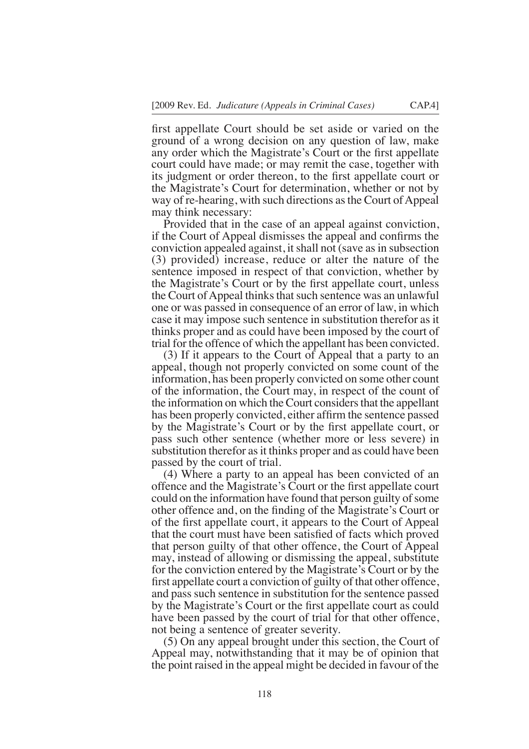frst appellate Court should be set aside or varied on the ground of a wrong decision on any question of law, make any order which the Magistrate's Court or the frst appellate court could have made; or may remit the case, together with its judgment or order thereon, to the frst appellate court or the Magistrate's Court for determination, whether or not by way of re-hearing, with such directions as the Court of Appeal may think necessary:

Provided that in the case of an appeal against conviction, if the Court of Appeal dismisses the appeal and confrms the conviction appealed against, it shall not (save as in subsection (3) provided) increase, reduce or alter the nature of the sentence imposed in respect of that conviction, whether by the Magistrate's Court or by the frst appellate court, unless the Court of Appeal thinks that such sentence was an unlawful one or was passed in consequence of an error of law, in which case it may impose such sentence in substitution therefor as it thinks proper and as could have been imposed by the court of trial for the offence of which the appellant has been convicted.

(3) If it appears to the Court of Appeal that a party to an appeal, though not properly convicted on some count of the information, has been properly convicted on some other count of the information, the Court may, in respect of the count of the information on which the Court considers that the appellant has been properly convicted, either affrm the sentence passed by the Magistrate's Court or by the frst appellate court, or pass such other sentence (whether more or less severe) in substitution therefor as it thinks proper and as could have been passed by the court of trial.

(4) Where a party to an appeal has been convicted of an offence and the Magistrate's Court or the frst appellate court could on the information have found that person guilty of some other offence and, on the fnding of the Magistrate's Court or of the frst appellate court, it appears to the Court of Appeal that the court must have been satisfed of facts which proved that person guilty of that other offence, the Court of Appeal may, instead of allowing or dismissing the appeal, substitute for the conviction entered by the Magistrate's Court or by the frst appellate court a conviction of guilty of that other offence, and pass such sentence in substitution for the sentence passed by the Magistrate's Court or the frst appellate court as could have been passed by the court of trial for that other offence, not being a sentence of greater severity.

(5) On any appeal brought under this section, the Court of Appeal may, notwithstanding that it may be of opinion that the point raised in the appeal might be decided in favour of the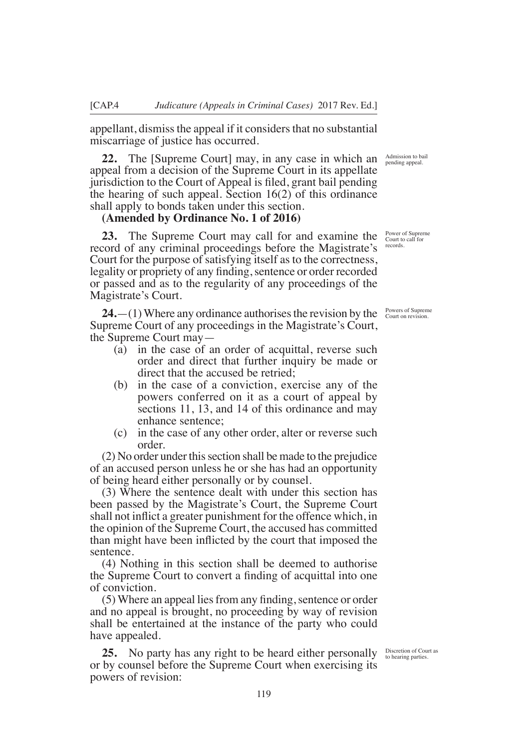appellant, dismiss the appeal if it considers that no substantial miscarriage of justice has occurred.

**22.** The [Supreme Court] may, in any case in which an appeal from a decision of the Supreme Court in its appellate jurisdiction to the Court of Appeal is fled, grant bail pending the hearing of such appeal. Section 16(2) of this ordinance shall apply to bonds taken under this section.

### **(Amended by Ordinance No. 1 of 2016)**

**23.** The Supreme Court may call for and examine the record of any criminal proceedings before the Magistrate's Court for the purpose of satisfying itself as to the correctness, legality or propriety of any finding, sentence or order recorded or passed and as to the regularity of any proceedings of the Magistrate's Court.

**24.**—(1) Where any ordinance authorises the revision by the Supreme Court of any proceedings in the Magistrate's Court, the Supreme Court may—

- (a) in the case of an order of acquittal, reverse such order and direct that further inquiry be made or direct that the accused be retried;
- (b) in the case of a conviction, exercise any of the powers conferred on it as a court of appeal by sections 11, 13, and 14 of this ordinance and may enhance sentence;
- (c) in the case of any other order, alter or reverse such order.

(2) No order under this section shall be made to the prejudice of an accused person unless he or she has had an opportunity of being heard either personally or by counsel.

(3) Where the sentence dealt with under this section has been passed by the Magistrate's Court, the Supreme Court shall not infict a greater punishment for the offence which, in the opinion of the Supreme Court, the accused has committed than might have been inficted by the court that imposed the sentence.

(4) Nothing in this section shall be deemed to authorise the Supreme Court to convert a fnding of acquittal into one of conviction.

(5) Where an appeal lies from any finding, sentence or order and no appeal is brought, no proceeding by way of revision shall be entertained at the instance of the party who could have appealed.

**25.** No party has any right to be heard either personally or by counsel before the Supreme Court when exercising its powers of revision:

Admission to bail pending appeal.

Power of Suprerne Court to call for records.

Powers of Supreme Court on revision.

Discretion of Court as to hearing parties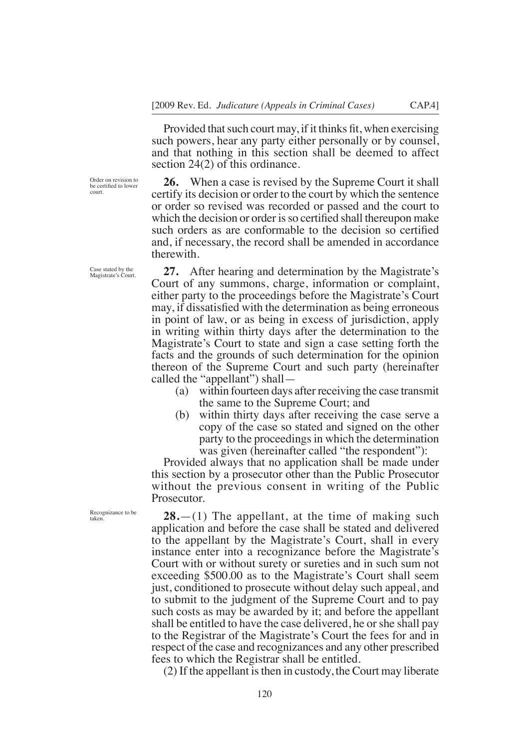Provided that such court may, if it thinks fit, when exercising such powers, hear any party either personally or by counsel, and that nothing in this section shall be deemed to affect section 24(2) of this ordinance.

Order on revision to be certifed to lower court.

ase stated by the Magistrate's Court.

**26.** When a case is revised by the Supreme Court it shall certify its decision or order to the court by which the sentence or order so revised was recorded or passed and the court to which the decision or order is so certified shall thereupon make such orders as are conformable to the decision so certifed and, if necessary, the record shall be amended in accordance therewith.

**27.** After hearing and determination by the Magistrate's Court of any summons, charge, information or complaint, either party to the proceedings before the Magistrate's Court may, if dissatisfed with the determination as being erroneous in point of law, or as being in excess of jurisdiction, apply in writing within thirty days after the determination to the Magistrate's Court to state and sign a case setting forth the facts and the grounds of such determination for the opinion thereon of the Supreme Court and such party (hereinafter called the "appellant") shall—

- (a) within fourteen days after receiving the case transmit the same to the Supreme Court; and
- (b) within thirty days after receiving the case serve a copy of the case so stated and signed on the other party to the proceedings in which the determination was given (hereinafter called "the respondent"):

Provided always that no application shall be made under this section by a prosecutor other than the Public Prosecutor without the previous consent in writing of the Public Prosecutor.

**28.**—(1) The appellant, at the time of making such application and before the case shall be stated and delivered to the appellant by the Magistrate's Court, shall in every instance enter into a recognizance before the Magistrate's Court with or without surety or sureties and in such sum not exceeding \$500.00 as to the Magistrate's Court shall seem just, conditioned to prosecute without delay such appeal, and to submit to the judgment of the Supreme Court and to pay such costs as may be awarded by it; and before the appellant shall be entitled to have the case delivered, he or she shall pay to the Registrar of the Magistrate's Court the fees for and in respect of the case and recognizances and any other prescribed fees to which the Registrar shall be entitled.

(2) If the appellant is then in custody, the Court may liberate

Recognizance to be

taken.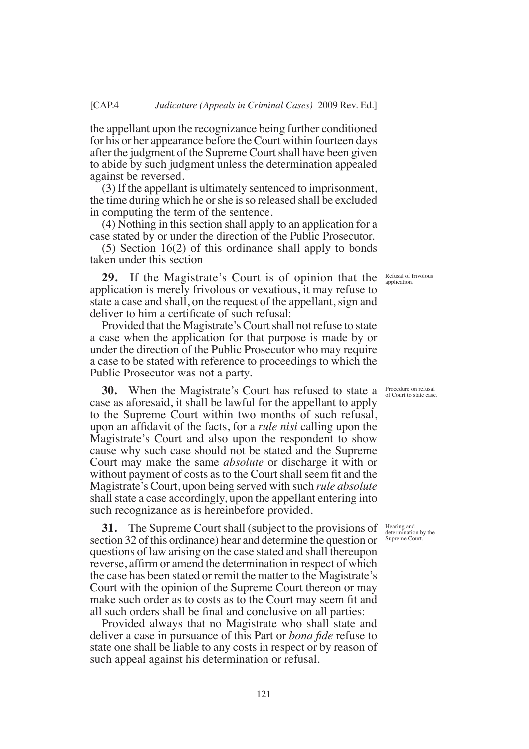the appellant upon the recognizance being further conditioned for his or her appearance before the Court within fourteen days after the judgment of the Supreme Court shall have been given to abide by such judgment unless the determination appealed against be reversed.

(3) If the appellant is ultimately sentenced to imprisonment, the time during which he or she is so released shall be excluded in computing the term of the sentence.

(4) Nothing in this section shall apply to an application for a case stated by or under the direction of the Public Prosecutor.

(5) Section 16(2) of this ordinance shall apply to bonds taken under this section

**29.** If the Magistrate's Court is of opinion that the application is merely frivolous or vexatious, it may refuse to state a case and shall, on the request of the appellant, sign and deliver to him a certifcate of such refusal:

Provided that the Magistrate's Court shall not refuse to state a case when the application for that purpose is made by or under the direction of the Public Prosecutor who may require a case to be stated with reference to proceedings to which the Public Prosecutor was not a party.

**30.** When the Magistrate's Court has refused to state a case as aforesaid, it shall be lawful for the appellant to apply to the Supreme Court within two months of such refusal, upon an affdavit of the facts, for a *rule nisi* calling upon the Magistrate's Court and also upon the respondent to show cause why such case should not be stated and the Supreme Court may make the same *absolute* or discharge it with or without payment of costs as to the Court shall seem fit and the Magistrate's Court, upon being served with such *rule absolute*  shall state a case accordingly, upon the appellant entering into such recognizance as is hereinbefore provided.

**31.** The Supreme Court shall (subject to the provisions of section 32 of this ordinance) hear and determine the question or questions of law arising on the case stated and shall thereupon reverse, affrm or amend the determination in respect of which the case has been stated or remit the matter to the Magistrate's Court with the opinion of the Supreme Court thereon or may make such order as to costs as to the Court may seem ft and all such orders shall be fnal and conclusive on all parties:

Provided always that no Magistrate who shall state and deliver a case in pursuance of this Part or *bona fde* refuse to state one shall be liable to any costs in respect or by reason of such appeal against his determination or refusal.

Refusal of frivolous application

Procedure on refusal of Court to state case.

Hearing and determination by the Supreme Court.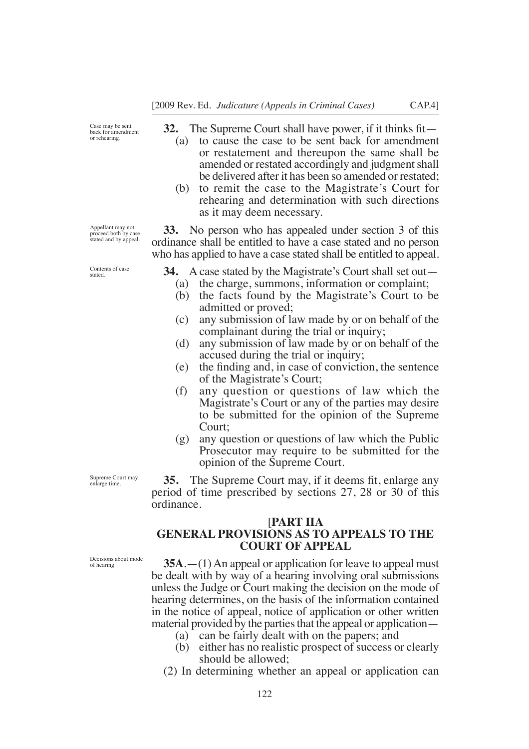Case may be sent back for amendment or rehearing.

**32.** The Supreme Court shall have power, if it thinks ft—

- (a) to cause the case to be sent back for amendment or restatement and thereupon the same shall be amended or restated accordingly and judgment shall be delivered after it has been so amended or restated;
- (b) to remit the case to the Magistrate's Court for rehearing and determination with such directions as it may deem necessary.

**33.** No person who has appealed under section 3 of this ordinance shall be entitled to have a case stated and no person who has applied to have a case stated shall be entitled to appeal.

- **34.** A case stated by the Magistrate's Court shall set out—
	- (a) the charge, summons, information or complaint;
	- (b) the facts found by the Magistrate's Court to be admitted or proved;
	- (c) any submission of law made by or on behalf of the complainant during the trial or inquiry;
	- (d) any submission of law made by or on behalf of the accused during the trial or inquiry;
	- (e) the fnding and, in case of conviction, the sentence of the Magistrate's Court;
	- (f) any question or questions of law which the Magistrate's Court or any of the parties may desire to be submitted for the opinion of the Supreme Court;
	- (g) any question or questions of law which the Public Prosecutor may require to be submitted for the opinion of the Supreme Court.

**35.** The Supreme Court may, if it deems ft, enlarge any period of time prescribed by sections 27, 28 or 30 of this ordinance.

## [**PART IIA GENERAL PROVISIONS AS TO APPEALS TO THE COURT OF APPEAL**

Decisions about mode of hearing

Supreme Court may enlarge time.

> **35A**.—(1) An appeal or application for leave to appeal must be dealt with by way of a hearing involving oral submissions unless the Judge or Court making the decision on the mode of hearing determines, on the basis of the information contained in the notice of appeal, notice of application or other written material provided by the parties that the appeal or application—

(a) can be fairly dealt with on the papers; and

122

- (b) either has no realistic prospect of success or clearly should be allowed;
- (2) In determining whether an appeal or application can

Appellant may not proceed both by case stated and by appeal.

Contents of case stated.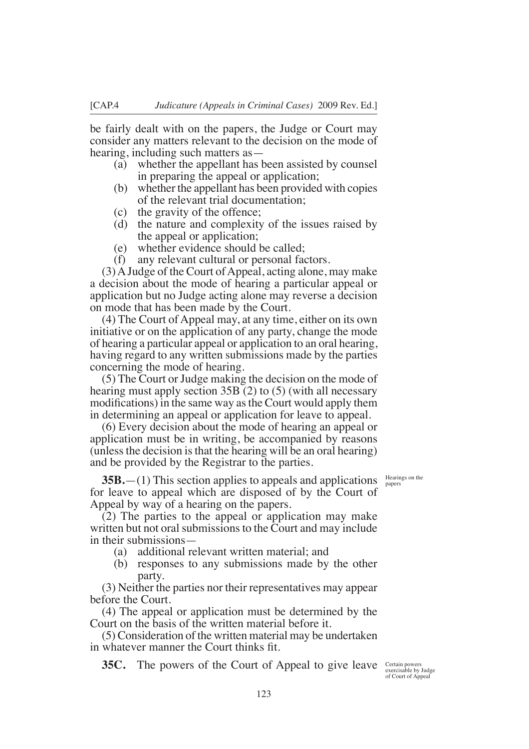be fairly dealt with on the papers, the Judge or Court may consider any matters relevant to the decision on the mode of hearing, including such matters as—

- (a) whether the appellant has been assisted by counsel in preparing the appeal or application;
- (b) whether the appellant has been provided with copies of the relevant trial documentation;
- (c) the gravity of the offence;
- (d) the nature and complexity of the issues raised by the appeal or application;
- (e) whether evidence should be called;
- (f) any relevant cultural or personal factors.

(3) A Judge of the Court of Appeal, acting alone, may make a decision about the mode of hearing a particular appeal or application but no Judge acting alone may reverse a decision on mode that has been made by the Court.

(4) The Court of Appeal may, at any time, either on its own initiative or on the application of any party, change the mode of hearing a particular appeal or application to an oral hearing, having regard to any written submissions made by the parties concerning the mode of hearing.

(5) The Court or Judge making the decision on the mode of hearing must apply section 35B (2) to (5) (with all necessary modifcations) in the same way asthe Court would apply them in determining an appeal or application for leave to appeal.

(6) Every decision about the mode of hearing an appeal or application must be in writing, be accompanied by reasons (unless the decision is that the hearing will be an oral hearing) and be provided by the Registrar to the parties.

> Hearings on the papers

**35B.**—(1) This section applies to appeals and applications for leave to appeal which are disposed of by the Court of Appeal by way of a hearing on the papers.

(2) The parties to the appeal or application may make written but not oral submissions to the Court and may include in their submissions—

- (a) additional relevant written material; and
- (b) responses to any submissions made by the other party.

(3) Neither the parties nor their representatives may appear before the Court.

(4) The appeal or application must be determined by the Court on the basis of the written material before it.

(5) Consideration of the written material may be undertaken in whatever manner the Court thinks ft.

**35C.** The powers of the Court of Appeal to give leave Certain powers exercisable by Judge

of Court of Appeal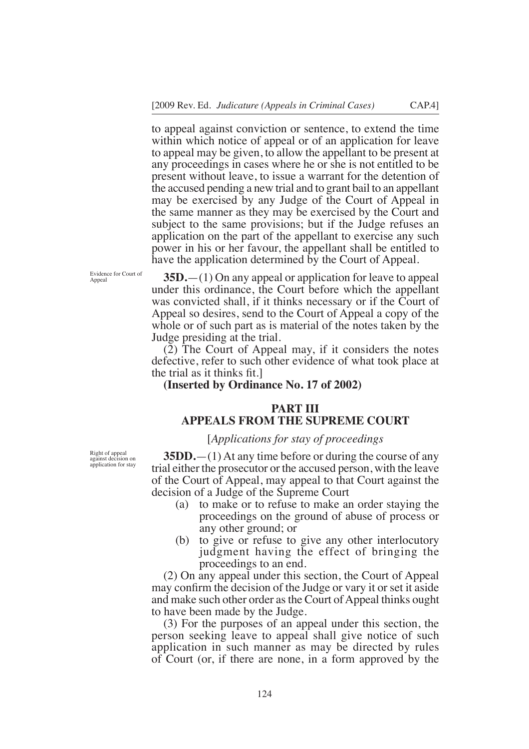to appeal against conviction or sentence, to extend the time within which notice of appeal or of an application for leave to appeal may be given, to allow the appellant to be present at any proceedings in cases where he or she is not entitled to be present without leave, to issue a warrant for the detention of the accused pending a new trial and to grant bail to an appellant may be exercised by any Judge of the Court of Appeal in the same manner as they may be exercised by the Court and subject to the same provisions; but if the Judge refuses an application on the part of the appellant to exercise any such power in his or her favour, the appellant shall be entitled to have the application determined by the Court of Appeal.

Evidence for Court of Appeal

**35D.**—(1) On any appeal or application for leave to appeal under this ordinance, the Court before which the appellant was convicted shall, if it thinks necessary or if the Court of Appeal so desires, send to the Court of Appeal a copy of the whole or of such part as is material of the notes taken by the Judge presiding at the trial.

(2) The Court of Appeal may, if it considers the notes defective, refer to such other evidence of what took place at the trial as it thinks fit.

### **(Inserted by Ordinance No. 17 of 2002)**

# **PART III APPEALS FROM THE SUPREME COURT**

### [*Applications for stay of proceedings*

Right of appeal against decision on application for stay

**35DD.**—(1) At any time before or during the course of any trial either the prosecutor or the accused person, with the leave of the Court of Appeal, may appeal to that Court against the decision of a Judge of the Supreme Court

- (a) to make or to refuse to make an order staying the proceedings on the ground of abuse of process or any other ground; or
- (b) to give or refuse to give any other interlocutory judgment having the effect of bringing the proceedings to an end.

(2) On any appeal under this section, the Court of Appeal may confrm the decision of the Judge or vary it or set it aside and make such other order as the Court of Appeal thinks ought to have been made by the Judge.

(3) For the purposes of an appeal under this section, the person seeking leave to appeal shall give notice of such application in such manner as may be directed by rules of Court (or, if there are none, in a form approved by the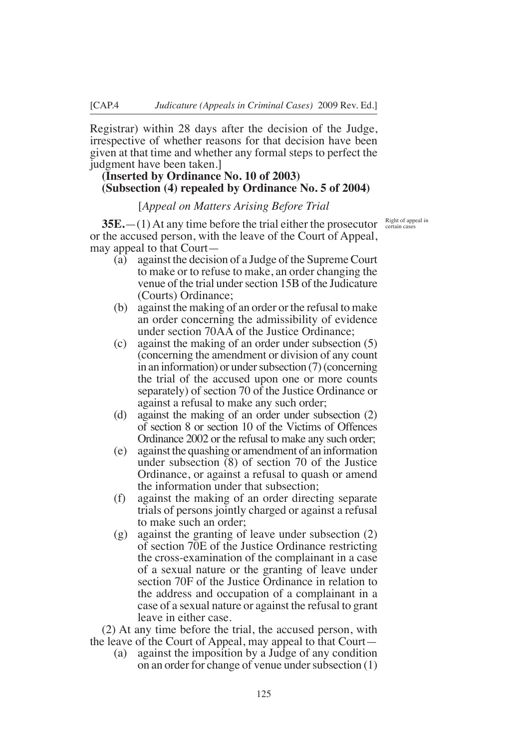Registrar) within 28 days after the decision of the Judge, irrespective of whether reasons for that decision have been given at that time and whether any formal steps to perfect the judgment have been taken.]

# **(Inserted by Ordinance No. 10 of 2003) (Subsection (4) repealed by Ordinance No. 5 of 2004)**

### [*Appeal on Matters Arising Before Trial*

**35E.**  $-(1)$  At any time before the trial either the prosecutor  $\frac{Right\ of\ appeal\ in}{certain\ cases}$ or the accused person, with the leave of the Court of Appeal, may appeal to that Court—

- (a) against the decision of a Judge of the Supreme Court to make or to refuse to make, an order changing the venue of the trial under section 15B of the Judicature (Courts) Ordinance;
- (b) against the making of an order or the refusal to make an order concerning the admissibility of evidence under section 70AA of the Justice Ordinance;
- (c) against the making of an order under subsection (5) (concerning the amendment or division of any count in an information) or under subsection (7) (concerning the trial of the accused upon one or more counts separately) of section 70 of the Justice Ordinance or against a refusal to make any such order;
- (d) against the making of an order under subsection (2) of section 8 or section 10 of the Victims of Offences Ordinance 2002 or the refusal to make any such order;
- (e) against the quashing or amendment of an information under subsection (8) of section 70 of the Justice Ordinance, or against a refusal to quash or amend the information under that subsection;
- (f) against the making of an order directing separate trials of persons jointly charged or against a refusal to make such an order;
- (g) against the granting of leave under subsection (2) of section 70E of the Justice Ordinance restricting the cross-examination of the complainant in a case of a sexual nature or the granting of leave under section 70F of the Justice Ordinance in relation to the address and occupation of a complainant in a case of a sexual nature or against the refusal to grant leave in either case.

(2) At any time before the trial, the accused person, with the leave of the Court of Appeal, may appeal to that Court—

(a) against the imposition by a Judge of any condition on an order for change of venue under subsection (1)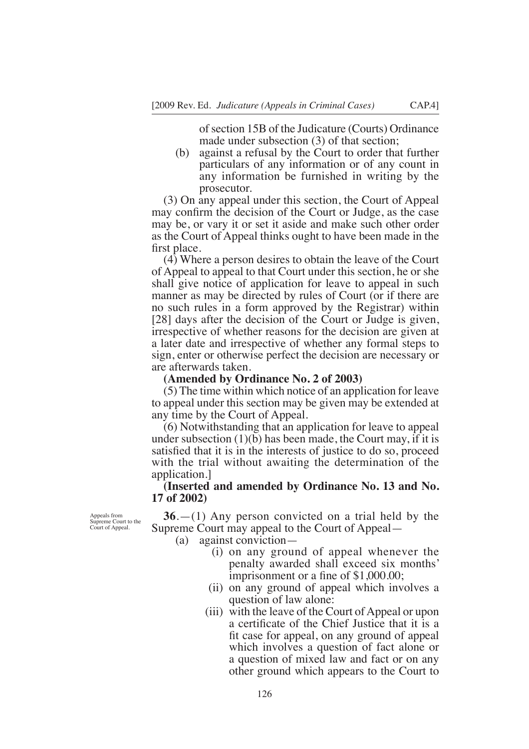of section 15B of the Judicature (Courts) Ordinance made under subsection (3) of that section;

(b) against a refusal by the Court to order that further particulars of any information or of any count in any information be furnished in writing by the prosecutor.

(3) On any appeal under this section, the Court of Appeal may confrm the decision of the Court or Judge, as the case may be, or vary it or set it aside and make such other order as the Court of Appeal thinks ought to have been made in the frst place.

(4) Where a person desires to obtain the leave of the Court of Appeal to appeal to that Court under this section, he or she shall give notice of application for leave to appeal in such manner as may be directed by rules of Court (or if there are no such rules in a form approved by the Registrar) within [28] days after the decision of the Court or Judge is given, irrespective of whether reasons for the decision are given at a later date and irrespective of whether any formal steps to sign, enter or otherwise perfect the decision are necessary or are afterwards taken.

### **(Amended by Ordinance No. 2 of 2003)**

(5) The time within which notice of an application for leave to appeal under this section may be given may be extended at any time by the Court of Appeal.

(6) Notwithstanding that an application for leave to appeal under subsection  $(1)(b)$  has been made, the Court may, if it is satisfed that it is in the interests of justice to do so, proceed with the trial without awaiting the determination of the application.]

## **(Inserted and amended by Ordinance No. 13 and No. 17 of 2002)**

Appeals from Supreme Court to the Court of Appeal.

**36**.—(1) Any person convicted on a trial held by the Supreme Court may appeal to the Court of Appeal—

(a) against conviction—

- (i) on any ground of appeal whenever the penalty awarded shall exceed six months' imprisonment or a fine of  $$1,000.00;$
- (ii) on any ground of appeal which involves a question of law alone:
- (iii) with the leave of the Court of Appeal or upon a certifcate of the Chief Justice that it is a ft case for appeal, on any ground of appeal which involves a question of fact alone or a question of mixed law and fact or on any other ground which appears to the Court to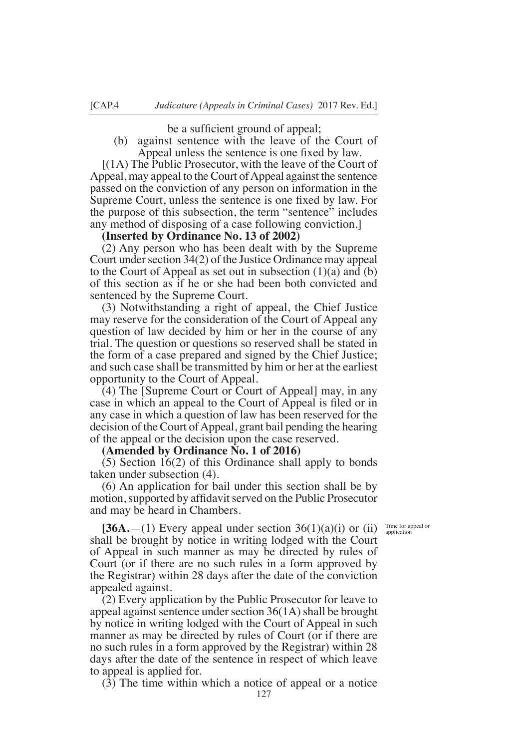be a sufficient ground of appeal;

(b) against sentence with the leave of the Court of Appeal unless the sentence is one fxed by law.

[(1A) The Public Prosecutor, with the leave of the Court of Appeal, may appeal to the Court of Appeal against the sentence passed on the conviction of any person on information in the Supreme Court, unless the sentence is one fxed by law. For the purpose of this subsection, the term "sentence" includes any method of disposing of a case following conviction.]

**(Inserted by Ordinance No. 13 of 2002)** 

(2) Any person who has been dealt with by the Supreme Court under section 34(2) of the Justice Ordinance may appeal to the Court of Appeal as set out in subsection (1)(a) and (b) of this section as if he or she had been both convicted and sentenced by the Supreme Court.

(3) Notwithstanding a right of appeal, the Chief Justice may reserve for the consideration of the Court of Appeal any question of law decided by him or her in the course of any trial. The question or questions so reserved shall be stated in the form of a case prepared and signed by the Chief Justice; and such case shall be transmitted by him or her at the earliest opportunity to the Court of Appeal.

(4) The [Supreme Court or Court of Appeal] may, in any case in which an appeal to the Court of Appeal is fled or in any case in which a question of law has been reserved for the decision of the Court of Appeal, grant bail pending the hearing of the appeal or the decision upon the case reserved.

#### **(Amended by Ordinance No. 1 of 2016)**

(5) Section 16(2) of this Ordinance shall apply to bonds taken under subsection (4).

(6) An application for bail under this section shall be by motion, supported by affidavit served on the Public Prosecutor and may be heard in Chambers.

Time for appeal or application

**[36A.**—(1) Every appeal under section  $36(1)(a)(i)$  or (ii) shall be brought by notice in writing lodged with the Court of Appeal in such manner as may be directed by rules of Court (or if there are no such rules in a form approved by the Registrar) within 28 days after the date of the conviction appealed against.

(2) Every application by the Public Prosecutor for leave to appeal against sentence under section 36(1A) shall be brought by notice in writing lodged with the Court of Appeal in such manner as may be directed by rules of Court (or if there are no such rules in a form approved by the Registrar) within 28 days after the date of the sentence in respect of which leave to appeal is applied for.

(3) The time within which a notice of appeal or a notice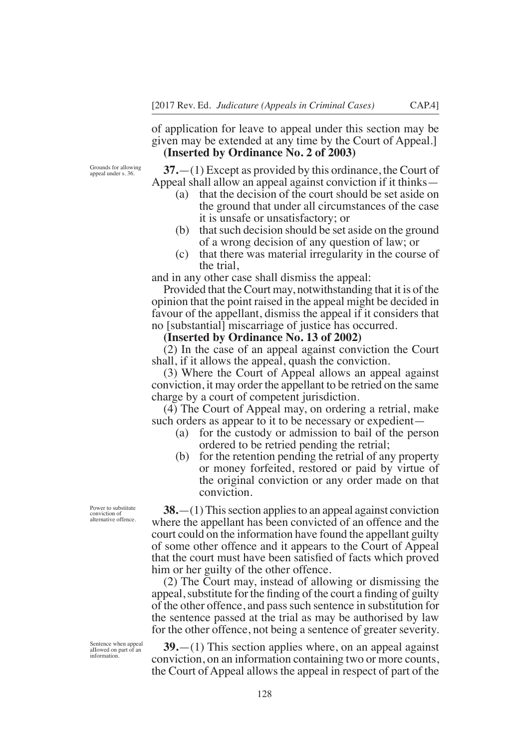of application for leave to appeal under this section may be given may be extended at any time by the Court of Appeal.] **(Inserted by Ordinance No. 2 of 2003)** 

Grounds for allowing appeal under s. 36.

**37.**—(1) Except as provided by this ordinance, the Court of Appeal shall allow an appeal against conviction if it thinks—

- (a) that the decision of the court should be set aside on the ground that under all circumstances of the case it is unsafe or unsatisfactory; or
- (b) that such decision should be set aside on the ground of a wrong decision of any question of law; or
- (c) that there was material irregularity in the course of the trial,

and in any other case shall dismiss the appeal:

Provided that the Court may, notwithstanding that it is of the opinion that the point raised in the appeal might be decided in favour of the appellant, dismiss the appeal if it considers that no [substantial] miscarriage of justice has occurred.

#### **(Inserted by Ordinance No. 13 of 2002)**

(2) In the case of an appeal against conviction the Court shall, if it allows the appeal, quash the conviction.

(3) Where the Court of Appeal allows an appeal against conviction, it may order the appellant to be retried on the same charge by a court of competent jurisdiction.

(4) The Court of Appeal may, on ordering a retrial, make such orders as appear to it to be necessary or expedient—

- (a) for the custody or admission to bail of the person ordered to be retried pending the retrial;
- (b) for the retention pending the retrial of any property or money forfeited, restored or paid by virtue of the original conviction or any order made on that conviction.

**38.**—(1) This section applies to an appeal against conviction where the appellant has been convicted of an offence and the court could on the information have found the appellant guilty of some other offence and it appears to the Court of Appeal that the court must have been satisfed of facts which proved him or her guilty of the other offence.

(2) The Court may, instead of allowing or dismissing the appeal, substitute for the finding of the court a finding of guilty of the other offence, and pass such sentence in substitution for the sentence passed at the trial as may be authorised by law for the other offence, not being a sentence of greater severity.

Sentence when appeal aIIowed on part of an information.

**39.**—(1) This section applies where, on an appeal against conviction, on an information containing two or more counts, the Court of Appeal allows the appeal in respect of part of the

Power to substitute conviction of alternative offence.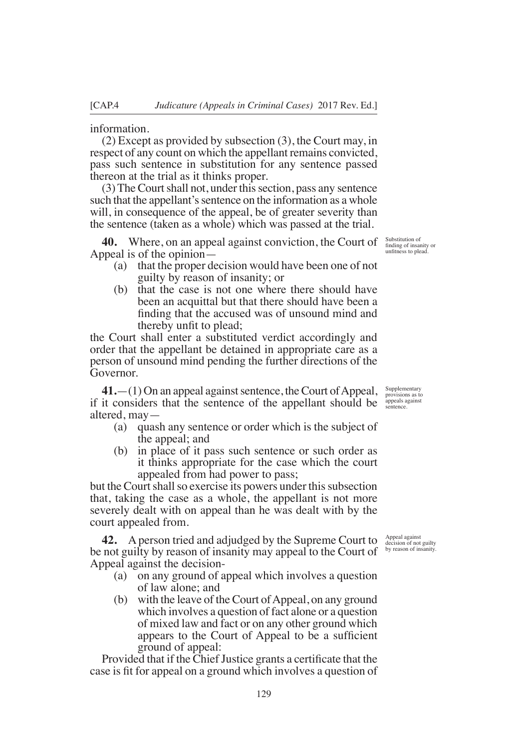information.

(2) Except as provided by subsection (3), the Court may, in respect of any count on which the appellant remains convicted, pass such sentence in substitution for any sentence passed thereon at the trial as it thinks proper.

(3) The Court shall not, under this section, pass any sentence such that the appellant's sentence on the information as a whole will, in consequence of the appeal, be of greater severity than the sentence (taken as a whole) which was passed at the trial.

**40.** Where, on an appeal against conviction, the Court of  $\frac{\text{Substitution of}}{\text{finding of the}}$ Appeal is of the opinion—

- (a) that the proper decision would have been one of not guilty by reason of insanity; or
- (b) that the case is not one where there should have been an acquittal but that there should have been a fnding that the accused was of unsound mind and thereby unft to plead;

the Court shall enter a substituted verdict accordingly and order that the appellant be detained in appropriate care as a person of unsound mind pending the further directions of the Governor.

**41.**—(1) On an appeal against sentence, the Court of Appeal, if it considers that the sentence of the appellant should be sentence. altered, may—

- (a) quash any sentence or order which is the subject of the appeal; and
- (b) in place of it pass such sentence or such order as it thinks appropriate for the case which the court appealed from had power to pass;

but the Court shall so exercise its powers under this subsection that, taking the case as a whole, the appellant is not more severely dealt with on appeal than he was dealt with by the court appealed from.

**42.** A person tried and adjudged by the Supreme Court to be not guilty by reason of insanity may appeal to the Court of Appeal against the decision-

- (a) on any ground of appeal which involves a question of law alone; and
- (b) with the leave of the Court of Appeal, on any ground which involves a question of fact alone or a question of mixed law and fact or on any other ground which appears to the Court of Appeal to be a sufficient ground of appeal:

Provided that if the Chief Justice grants a certificate that the case is ft for appeal on a ground which involves a question of

Supplementary provisions as to

Appeal against decision of not guilty by reason of insanity.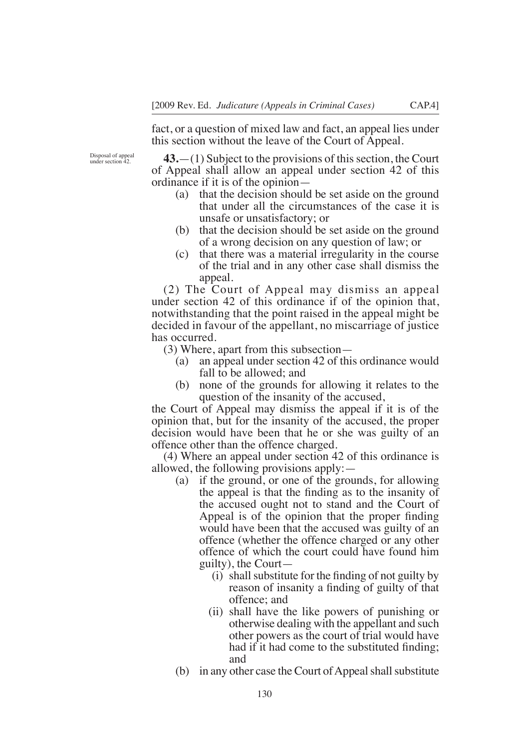fact, or a question of mixed law and fact, an appeal lies under this section without the leave of the Court of Appeal.

Disposal of appeal under section 42.

**43.**—(1) Subject to the provisions of this section, the Court of Appeal shall allow an appeal under section 42 of this ordinance if it is of the opinion—

- (a) that the decision should be set aside on the ground that under all the circumstances of the case it is unsafe or unsatisfactory; or
- (b) that the decision should be set aside on the ground of a wrong decision on any question of law; or
- (c) that there was a material irregularity in the course of the trial and in any other case shall dismiss the appeal.

(2) The Court of Appeal may dismiss an appeal under section 42 of this ordinance if of the opinion that, notwithstanding that the point raised in the appeal might be decided in favour of the appellant, no miscarriage of justice has occurred.

(3) Where, apart from this subsection—

- (a) an appeal under section 42 of this ordinance would fall to be allowed; and
- (b) none of the grounds for allowing it relates to the question of the insanity of the accused,

the Court of Appeal may dismiss the appeal if it is of the opinion that, but for the insanity of the accused, the proper decision would have been that he or she was guilty of an offence other than the offence charged.

(4) Where an appeal under section 42 of this ordinance is allowed, the following provisions apply:—

- (a) if the ground, or one of the grounds, for allowing the appeal is that the fnding as to the insanity of the accused ought not to stand and the Court of Appeal is of the opinion that the proper fnding would have been that the accused was guilty of an offence (whether the offence charged or any other offence of which the court could have found him guilty), the Court—
	- $(i)$  shall substitute for the finding of not guilty by reason of insanity a fnding of guilty of that offence; and
	- (ii) shall have the like powers of punishing or otherwise dealing with the appellant and such other powers as the court of trial would have had if it had come to the substituted fnding; and
- (b) in any other case the Court of Appeal shall substitute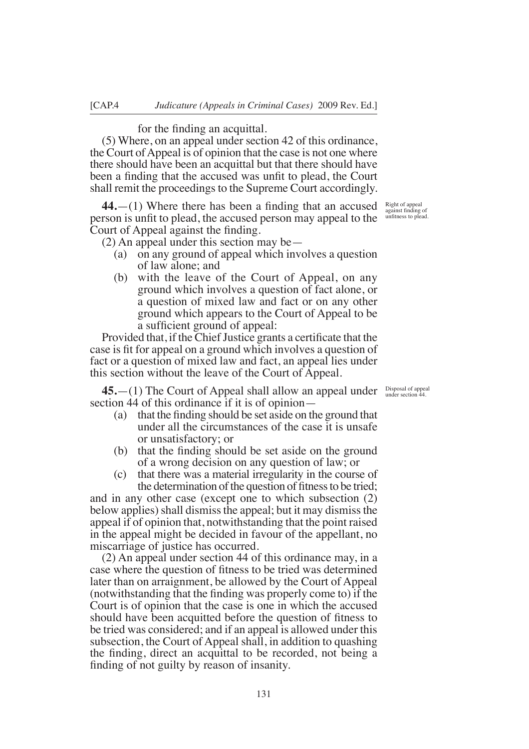#### for the fnding an acquittal.

(5) Where, on an appeal under section 42 of this ordinance, the Court of Appeal is of opinion that the case is not one where there should have been an acquittal but that there should have been a fnding that the accused was unft to plead, the Court shall remit the proceedings to the Supreme Court accordingly.

**44.**—(1) Where there has been a fnding that an accused person is unft to plead, the accused person may appeal to the Court of Appeal against the fnding.

 $(2)$  An appeal under this section may be —

- (a) on any ground of appeal which involves a question of law alone; and
- (b) with the leave of the Court of Appeal, on any ground which involves a question of fact alone, or a question of mixed law and fact or on any other ground which appears to the Court of Appeal to be a sufficient ground of appeal:

Provided that, if the Chief Justice grants a certificate that the case is ft for appeal on a ground which involves a question of fact or a question of mixed law and fact, an appeal lies under this section without the leave of the Court of Appeal.

**45.**—(1) The Court of Appeal shall allow an appeal under section 44 of this ordinance if it is of opinion—

- (a) that the fnding should be set aside on the ground that under all the circumstances of the case it is unsafe or unsatisfactory; or
- (b) that the fnding should be set aside on the ground of a wrong decision on any question of law; or
- (c) that there was a material irregularity in the course of the determination of the question of fitness to be tried;

and in any other case (except one to which subsection (2) below applies) shall dismiss the appeal; but it may dismiss the appeal if of opinion that, notwithstanding that the point raised in the appeal might be decided in favour of the appellant, no miscarriage of justice has occurred.

(2) An appeal under section 44 of this ordinance may, in a case where the question of ftness to be tried was determined later than on arraignment, be allowed by the Court of Appeal (notwithstanding that the fnding was properly come to) if the Court is of opinion that the case is one in which the accused should have been acquitted before the question of ftness to be tried was considered; and if an appeal is allowed under this subsection, the Court of Appeal shall, in addition to quashing the fnding, direct an acquittal to be recorded, not being a fnding of not guilty by reason of insanity.

unfitness to plead.

Right of appeal against fnding of

Disposal of appeal under section 44.